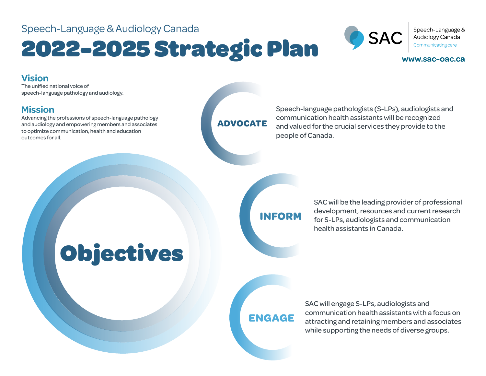#### Speech-Language & Audiology Canada

## 2022-2025 Strategic Plan



Speech-Language & Audiology Canada Communicating care

#### **www.sac-oac.ca**

#### **Vision**

The unified national voice of speech-language pathology and audiology.

#### **Mission**

Advancing the professions of speech-language pathology and audiology and empowering members and associates to optimize communication, health and education outcomes for all.

#### **ADVOCATE**

Speech-language pathologists (S-LPs), audiologists and communication health assistants will be recognized and valued for the crucial services they provide to the people of Canada.

## Objectives

**INFORM**

SAC will be the leading provider of professional development, resources and current research for S-LPs, audiologists and communication health assistants in Canada.

#### **ENGAGE**

SAC will engage S-LPs, audiologists and communication health assistants with a focus on attracting and retaining members and associates while supporting the needs of diverse groups.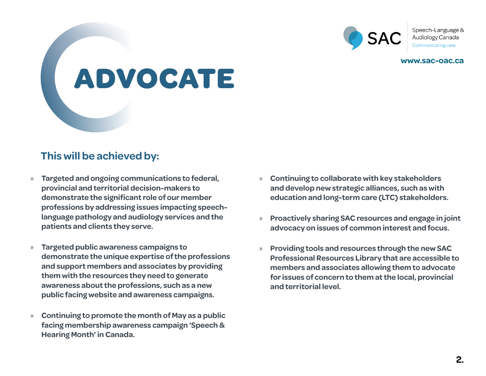

Speech-Language & Audiology Canada

**www.sac-oac.ca**

# **ADVOCATE**

#### **This will be achieved by:**

- » **Targeted and ongoing communications to federal, provincial and territorial decision-makers to demonstrate the significant role of our member professions by addressing issues impacting speechlanguage pathology and audiology services and the patients and clients they serve.**
- » **Targeted public awareness campaigns to demonstrate the unique expertise of the professions and support members and associates by providing them with the resources they need to generate awareness about the professions, such as a new public facing website and awareness campaigns.**
- » **Continuing to promote the month of May as a public facing membership awareness campaign 'Speech & Hearing Month' in Canada.**
- » **Continuing to collaborate with key stakeholders and develop new strategic alliances, such as with education and long-term care (LTC) stakeholders.**
- » **Proactively sharing SAC resources and engage in joint advocacy on issues of common interest and focus.**
- » **Providing tools and resources through the new SAC Professional Resources Library that are accessible to members and associates allowing them to advocate for issues of concern to them at the local, provincial and territorial level.**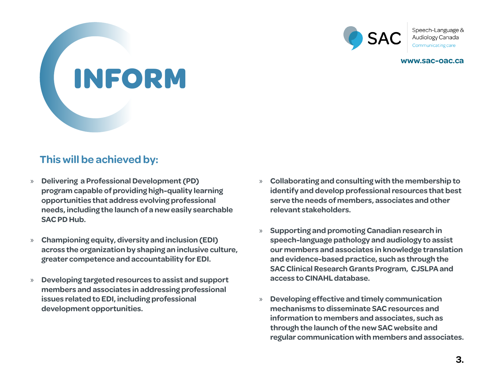

Speech-Language & Audiology Canada

**www.sac-oac.ca**

# **INFORM**

#### **This will be achieved by:**

- » **Delivering a Professional Development (PD) program capable of providing high-quality learning opportunities that address evolving professional needs, including the launch of a new easily searchable SAC PD Hub.**
- » **Championing equity, diversity and inclusion (EDI) across the organization by shaping an inclusive culture, greater competence and accountability for EDI.**
- » **Developing targeted resources to assist and support members and associates in addressing professional issues related to EDI, including professional development opportunities.**
- » **Collaborating and consulting with the membership to identify and develop professional resources that best serve the needs of members, associates and other relevant stakeholders.**
- » **Supporting and promoting Canadian research in speech-language pathology and audiology to assist our members and associates in knowledge translation and evidence-based practice, such as through the SAC Clinical Research Grants Program, CJSLPA and access to CINAHL database.**
- » **Developing effective and timely communication mechanisms to disseminate SAC resources and information to members and associates, such as through the launch of the new SAC website and regular communication with members and associates.**